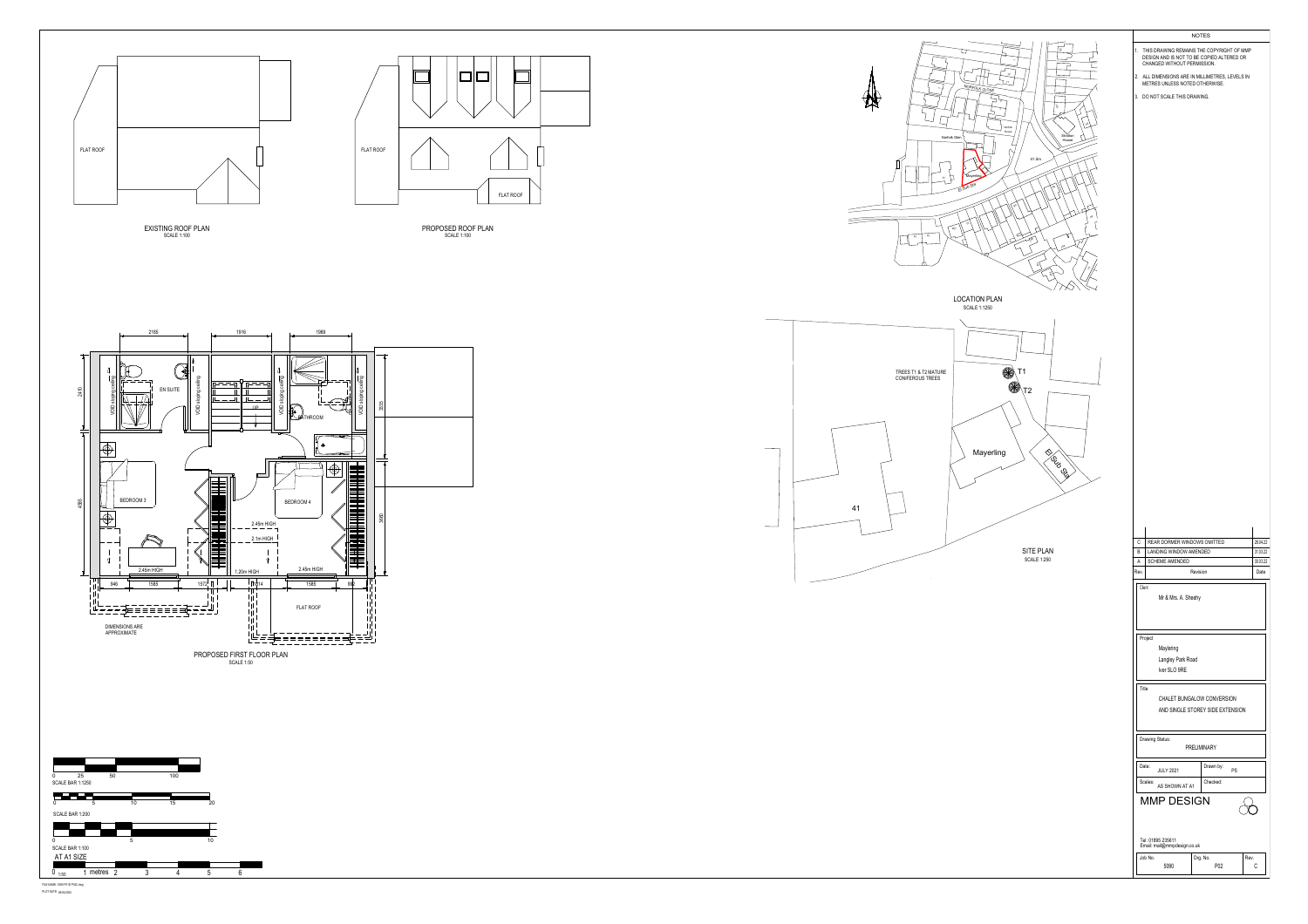

FILE NAME: 5090 P01D P02C.dwg<br>PLOT DATE: 28/04/2022



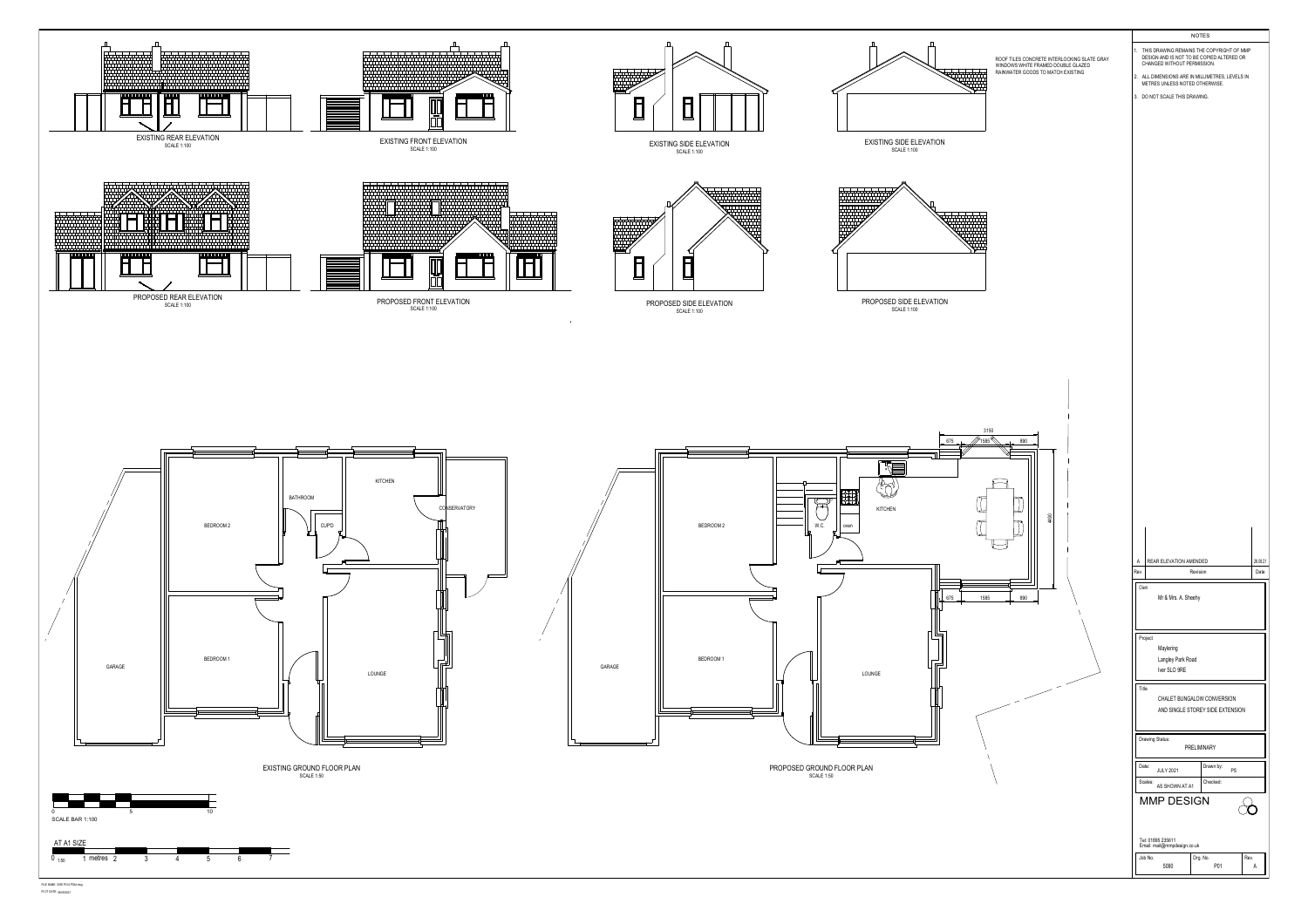

FILE NAME: 5090 P01A P02A.dwg<br>PLOT DATE: 26/08/2021